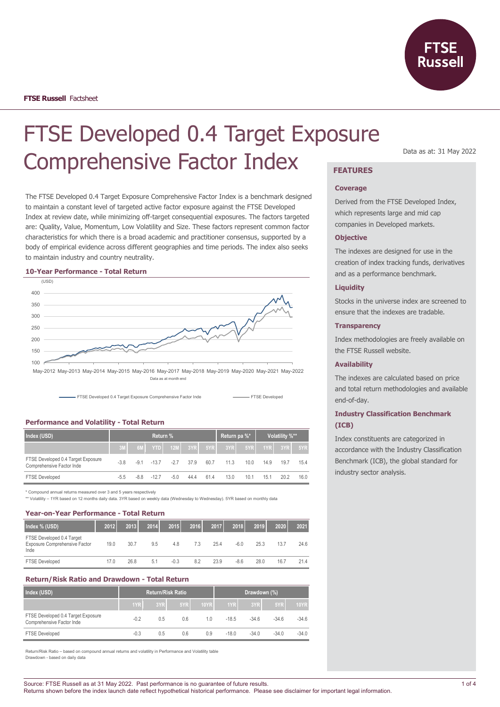

Data as at: 31 May 2022

# FTSE Developed 0.4 Target Exposure Comprehensive Factor Index **FEATURES**

The FTSE Developed 0.4 Target Exposure Comprehensive Factor Index is a benchmark designed to maintain a constant level of targeted active factor exposure against the FTSE Developed Index at review date, while minimizing off-target consequential exposures. The factors targeted are: Quality, Value, Momentum, Low Volatility and Size. These factors represent common factor characteristics for which there is a broad academic and practitioner consensus, supported by a body of empirical evidence across different geographies and time periods. The index also seeks to maintain industry and country neutrality.

## **10-Year Performance - Total Return**



Data as at month end



## **Performance and Volatility - Total Return**

| Index (USD)                                                     | Return % |        |        |                        |      |      | Return pa %* |      | Volatility %** |      |      |
|-----------------------------------------------------------------|----------|--------|--------|------------------------|------|------|--------------|------|----------------|------|------|
|                                                                 |          | 6M     |        | <b>YTD</b> 12M 3YR 5YR |      |      | $-3YR$       |      | 5YR 1YR 3YR    |      | 5YR  |
| FTSE Developed 0.4 Target Exposure<br>Comprehensive Factor Inde | $-3.8$   | $-9.1$ | $-137$ | $-2.7$                 | 37.9 | 60.7 | 11.3         | 10.0 | 14.9           | 19.7 | 154  |
| <b>FTSE Developed</b>                                           | $-5.5$   | -8.8   | $-127$ | $-5.0$                 | 44.4 | 61.4 | 13.0         | 10.1 | 15.1           | 20.2 | 16.0 |

\* Compound annual returns measured over 3 and 5 years respectively

\*\* Volatility – 1YR based on 12 months daily data. 3YR based on weekly data (Wednesday to Wednesday). 5YR based on monthly data

## **Year-on-Year Performance - Total Return**

| Index % (USD)                                                      | 2012 | 2013 | 2014 | 2015   | 2016 | 2017 | 2018   | 2019 | 2020 | 2021 |
|--------------------------------------------------------------------|------|------|------|--------|------|------|--------|------|------|------|
| FTSE Developed 0.4 Target<br>Exposure Comprehensive Factor<br>Inde | 19.0 | 30.7 | 9.5  | 4.8    | 7.3  | 25.4 | -6.0   | 25.3 | 13.7 | 24.6 |
| <b>FTSE Developed</b>                                              | 17.0 | 26.8 | 5.1  | $-0.3$ | 8.2  | 23.9 | $-8.6$ | 28.0 | 16.7 | 21.4 |

#### **Return/Risk Ratio and Drawdown - Total Return**

| Index (USD)                                                     |        |     | <b>Return/Risk Ratio</b> |             | Drawdown (%) |         |         |             |
|-----------------------------------------------------------------|--------|-----|--------------------------|-------------|--------------|---------|---------|-------------|
|                                                                 | 1YR    | 3YR | 5YR                      | <b>10YR</b> | 1YR          | 3YR     | 5YR     | <b>10YR</b> |
| FTSE Developed 0.4 Target Exposure<br>Comprehensive Factor Inde | $-0.2$ | 0.5 | 0.6                      | 10          | $-18.5$      | $-346$  | $-34.6$ | $-34.6$     |
| <b>FTSE Developed</b>                                           | $-0.3$ | 0.5 | 0.6                      | 0.9         | $-18.0$      | $-34.0$ | $-34.0$ | $-34.0$     |

Return/Risk Ratio – based on compound annual returns and volatility in Performance and Volatility table Drawdown - based on daily data

#### **Coverage**

Derived from the FTSE Developed Index, which represents large and mid cap companies in Developed markets.

## **Objective**

The indexes are designed for use in the creation of index tracking funds, derivatives and as a performance benchmark.

## **Liquidity**

Stocks in the universe index are screened to ensure that the indexes are tradable.

## **Transparency**

Index methodologies are freely available on the FTSE Russell website.

## **Availability**

The indexes are calculated based on price and total return methodologies and available end-of-day.

## **Industry Classification Benchmark (ICB)**

Index constituents are categorized in accordance with the Industry Classification Benchmark (ICB), the global standard for industry sector analysis.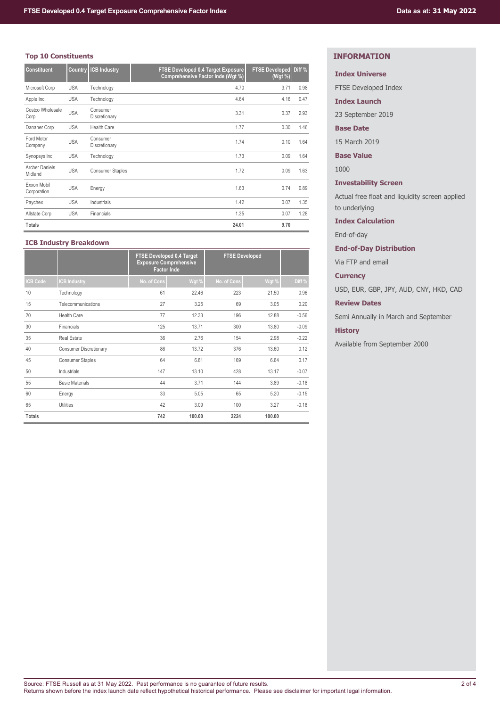# **Top 10 Constituents**

| <b>Constituent</b>               | <b>Country</b> | <b>ICB Industry</b>       | <b>FTSE Developed 0.4 Target Exposure</b><br>Comprehensive Factor Inde (Wgt %) | <b>FTSE Developed</b><br>(Wgt %) | Diff % |
|----------------------------------|----------------|---------------------------|--------------------------------------------------------------------------------|----------------------------------|--------|
| Microsoft Corp                   | <b>USA</b>     | Technology                | 4.70                                                                           | 3.71                             | 0.98   |
| Apple Inc.                       | <b>USA</b>     | Technology                | 4.64                                                                           | 4.16                             | 0.47   |
| Costco Wholesale<br>Corp         | <b>USA</b>     | Consumer<br>Discretionary | 3.31                                                                           | 0.37                             | 2.93   |
| Danaher Corp                     | <b>USA</b>     | <b>Health Care</b>        | 1.77                                                                           | 0.30                             | 1.46   |
| Ford Motor<br>Company            | <b>USA</b>     | Consumer<br>Discretionary | 1.74                                                                           | 0.10                             | 1.64   |
| Synopsys Inc                     | <b>USA</b>     | Technology                | 1.73                                                                           | 0.09                             | 1.64   |
| <b>Archer Daniels</b><br>Midland | <b>USA</b>     | <b>Consumer Staples</b>   | 1.72                                                                           | 0.09                             | 1.63   |
| Exxon Mobil<br>Corporation       | <b>USA</b>     | Energy                    | 1.63                                                                           | 0.74                             | 0.89   |
| Paychex                          | <b>USA</b>     | Industrials               | 1.42                                                                           | 0.07                             | 1.35   |
| Allstate Corp                    | <b>USA</b>     | Financials                | 1.35                                                                           | 0.07                             | 1.28   |
| <b>Totals</b>                    |                |                           | 24.01                                                                          | 9.70                             |        |

## **ICB Industry Breakdown**

|                 |                               | <b>FTSE Developed 0.4 Target</b><br><b>Exposure Comprehensive</b><br><b>Factor Inde</b> |        | <b>FTSE Developed</b> |        |         |
|-----------------|-------------------------------|-----------------------------------------------------------------------------------------|--------|-----------------------|--------|---------|
| <b>ICB Code</b> | <b>CB Industry</b>            | No. of Cons                                                                             | Wgt %  | No. of Cons           | Wgt %  | Diff %  |
| 10              | Technology                    | 61                                                                                      | 22.46  | 223                   | 21.50  | 0.96    |
| 15              | Telecommunications            | 27                                                                                      | 3.25   | 69                    | 3.05   | 0.20    |
| 20              | Health Care                   | 77                                                                                      | 12.33  | 196                   | 12.88  | $-0.56$ |
| 30              | Financials                    | 125                                                                                     | 13.71  | 300                   | 13.80  | $-0.09$ |
| 35              | <b>Real Estate</b>            | 36                                                                                      | 2.76   | 154                   | 2.98   | $-0.22$ |
| 40              | <b>Consumer Discretionary</b> | 86                                                                                      | 13.72  | 376                   | 13.60  | 0.12    |
| 45              | <b>Consumer Staples</b>       | 64                                                                                      | 6.81   | 169                   | 6.64   | 0.17    |
| 50              | Industrials                   | 147                                                                                     | 13.10  | 428                   | 13.17  | $-0.07$ |
| 55              | <b>Basic Materials</b>        | 44                                                                                      | 3.71   | 144                   | 3.89   | $-0.18$ |
| 60              | Energy                        | 33                                                                                      | 5.05   | 65                    | 5.20   | $-0.15$ |
| 65              | <b>Utilities</b>              | 42                                                                                      | 3.09   | 100                   | 3.27   | $-0.18$ |
| <b>Totals</b>   |                               | 742                                                                                     | 100.00 | 2224                  | 100.00 |         |

# **INFORMATION**

# **Index Universe**

FTSE Developed Index

**Index Launch**

23 September 2019

## **Base Date**

15 March 2019

**Base Value**

1000

# **Investability Screen**

Actual free float and liquidity screen applied to underlying

# **Index Calculation**

End-of-day

# **End-of-Day Distribution**

Via FTP and email

## **Currency**

USD, EUR, GBP, JPY, AUD, CNY, HKD, CAD

# **Review Dates**

Semi Annually in March and September

## **History**

Available from September 2000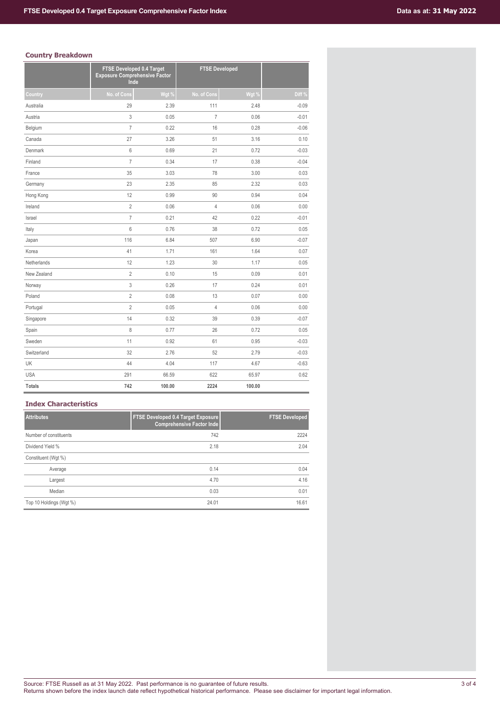# **Country Breakdown**

| ------ <i>.</i> | FTSE Developed 0.4 Target<br><b>Exposure Comprehensive Factor</b><br>Inde |        | <b>FTSE Developed</b> |        |         |
|-----------------|---------------------------------------------------------------------------|--------|-----------------------|--------|---------|
| Country         | No. of Cons                                                               | Wgt %  | No. of Cons           | Wgt %  | Diff %  |
| Australia       | 29                                                                        | 2.39   | 111                   | 2.48   | $-0.09$ |
| Austria         | 3                                                                         | 0.05   | $\overline{7}$        | 0.06   | $-0.01$ |
| Belgium         | $\overline{7}$                                                            | 0.22   | 16                    | 0.28   | $-0.06$ |
| Canada          | 27                                                                        | 3.26   | 51                    | 3.16   | 0.10    |
| Denmark         | 6                                                                         | 0.69   | 21                    | 0.72   | $-0.03$ |
| Finland         | $\overline{7}$                                                            | 0.34   | 17                    | 0.38   | $-0.04$ |
| France          | 35                                                                        | 3.03   | 78                    | 3.00   | 0.03    |
| Germany         | 23                                                                        | 2.35   | 85                    | 2.32   | 0.03    |
| Hong Kong       | 12                                                                        | 0.99   | 90                    | 0.94   | 0.04    |
| Ireland         | $\overline{2}$                                                            | 0.06   | $\overline{4}$        | 0.06   | 0.00    |
| Israel          | $\overline{7}$                                                            | 0.21   | 42                    | 0.22   | $-0.01$ |
| Italy           | 6                                                                         | 0.76   | 38                    | 0.72   | 0.05    |
| Japan           | 116                                                                       | 6.84   | 507                   | 6.90   | $-0.07$ |
| Korea           | 41                                                                        | 1.71   | 161                   | 1.64   | 0.07    |
| Netherlands     | 12                                                                        | 1.23   | 30                    | 1.17   | 0.05    |
| New Zealand     | $\overline{2}$                                                            | 0.10   | 15                    | 0.09   | 0.01    |
| Norway          | 3                                                                         | 0.26   | 17                    | 0.24   | 0.01    |
| Poland          | $\overline{2}$                                                            | 0.08   | 13                    | 0.07   | 0.00    |
| Portugal        | $\overline{2}$                                                            | 0.05   | 4                     | 0.06   | 0.00    |
| Singapore       | 14                                                                        | 0.32   | 39                    | 0.39   | $-0.07$ |
| Spain           | 8                                                                         | 0.77   | 26                    | 0.72   | 0.05    |
| Sweden          | 11                                                                        | 0.92   | 61                    | 0.95   | $-0.03$ |
| Switzerland     | 32                                                                        | 2.76   | 52                    | 2.79   | $-0.03$ |
| <b>UK</b>       | 44                                                                        | 4.04   | 117                   | 4.67   | $-0.63$ |
| <b>USA</b>      | 291                                                                       | 66.59  | 622                   | 65.97  | 0.62    |
| <b>Totals</b>   | 742                                                                       | 100.00 | 2224                  | 100.00 |         |

# **Index Characteristics**

| <b>Attributes</b>       | <b>FTSE Developed 0.4 Target Exposure</b><br><b>Comprehensive Factor Inde</b> | <b>FTSE Developed</b> |
|-------------------------|-------------------------------------------------------------------------------|-----------------------|
| Number of constituents  | 742                                                                           | 2224                  |
| Dividend Yield %        | 2.18                                                                          | 2.04                  |
| Constituent (Wgt %)     |                                                                               |                       |
| Average                 | 0.14                                                                          | 0.04                  |
| Largest                 | 4.70                                                                          | 4.16                  |
| Median                  | 0.03                                                                          | 0.01                  |
| Top 10 Holdings (Wgt %) | 24.01                                                                         | 16.61                 |